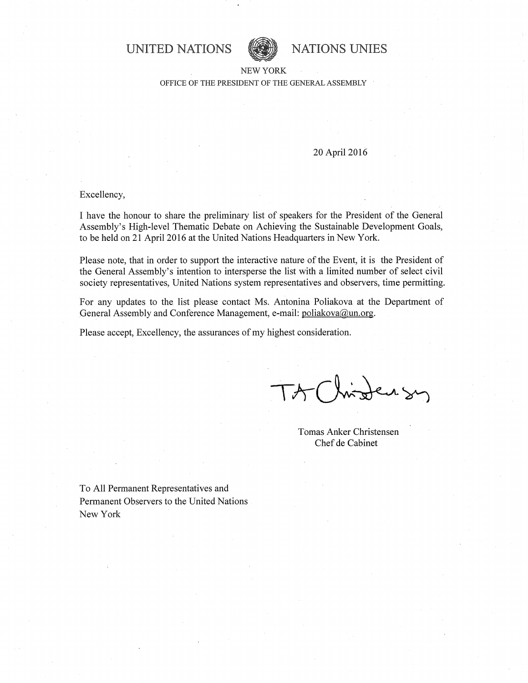**UNITED NATIONS WE WE NATIONS UNIES** 



#### NEW YORK OFFICE OF THE PRESIDENT OF THE GENERAL ASSEMBLY

### 20 April 2016

# . Excellency,

I have the honour to share the preliminary list of speakers for the President of the General Assembly's High-level Thematic Debate on Achieving the Sustainable Development Goals, to be held on 21 April 2016 at the United Nations Headquarters in New York.

Please note, that in order to support the interactive nature of the Event, it is the President of the General Assembly's intention to intersperse the list with a limited number of select civil society representatives, United Nations system representatives and observers, time permitting.

For any updates to the list please contact Ms. Antonina Poliakova at the Department of General Assembly and Conference Management, e-mail: poliakova@un.org.

Please accept, Excellency, the assurances of my highest consideration.

Tomas Anker Christensen Chef de Cabinet

To All Permanent Representatives and Permanent Observers to the United Nations New York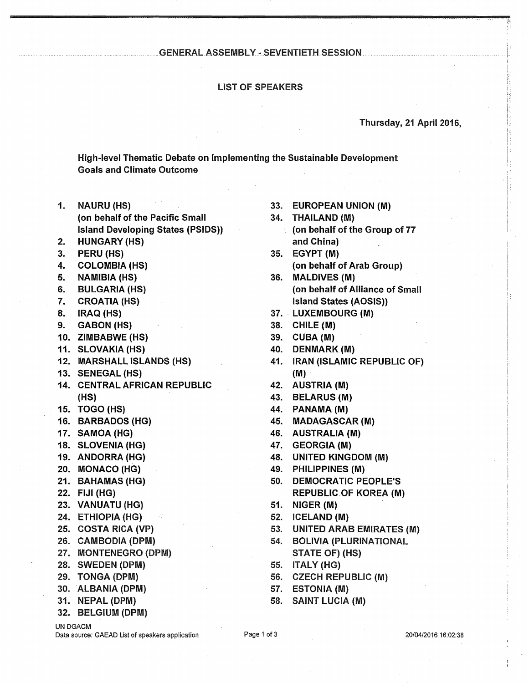#### GENERAL.ASSEMBLY.~ SEVENTIETH SESSION ..................

#### LIST OF SPEAKERS

### Thursday, 21 April 2016,

--\_.\_.\_ .. ,~ .. ~\_-J.-~~ ......... ~., .\_ ..... , \_\_ .

':i

f:

j

 $\vert$  $\overline{\phantom{a}}$ I i:

L

High-level Thematic Debate on Implementing the Sustainable Development Goals and Climate Outcome

- 1. NAURU (HS) 33. EUROPEAN UNION (M) (on behalf of the Pacific Small 34. THAILAND (M) Island Developing States (PSIDS» (on behalf of the Group of 77
- 2. HUNGARY (HS) and China
- 3. **PERU (HS)**
- 4.
- 5.
- 6.
- 7.
- 8.
- 9. GABON (HS)
- 10. ZIMBABWE (HS) 39. CUBA(M)
- 11. SLOVAKIA (HS)
- 12. MARSHALL ISLANDS (HS)
- 13. SENEGAL (HS) (M) .
- 14. CENTRAL AFRICAN REPUBLIC 42. AUSTRIA (M)  $(HS)$  43. BELARUS (M)
- 15. TOGO (HS)
- 16. BARBADOS (HG)
- 17. SAMOA (HG)
- 18. SLOVENIA (HG)
- 19. ANDORRA (HG)
- 20. MONACO (HG)
- 21. BAHAMAS (HG)
- 22. FIJI (HG)
- 23. VANUATU (HG)
- 24. ETHIOPIA (HG)
- 25. COSTA RICA (VP)
- 26. CAMBODIA (DPM)
- 27. MONTENEGRO (DPM) STATE OF) (HS)
- 28. SWEDEN (DPM)
- 29. TONGA (DPM)
- 30. ALBANIA (DPM)
- 31. NEPAL (DPM)
- 32. BELGIUM (DPM)

UN DGACM

Data source: GAEAD List of speakers application Page 1 of 3 20/04/2016 16:02:38

- 
- 
- 35. EGYPT (M) COLOMBIA (HS) (on behalf of Arab Group)
- NAMIBIA (HS) 36. MALDIVES (M) BULGARIA (HS) **(b)** (on behalf of Alliance of Small CROATIA (HS) Island States (AOSIS)
- IRAQ (HS) 37. LUXEMBOURG (M)
	- $38.$  CHILE  $(M)$
	-
	- 40. DENMARK(M)
	- 41. IRAN (ISLAMIC REPUBLIC OF)
	-
	-
	- 44. PANAMA (M)
	- 45. MADAGASCAR (M)
	- 46. AUSTRALIA (M)
	- 47. GEORGIA (M)
	- 48. UNITED KINGDOM (M)
	- 49. PHILIPPINES (M)
	- 50. DEMOCRATIC PEOPLE'S REPUBLIC OF KOREA (M)
	- 51. NIGER (M)
	- 52. ICELAND (M)
	- 53. UNITED ARAB EMIRATES (M)
	- 54. BOLIVIA (PLURINATIONAL
	- 55. ITALY (HG)
	- 56. CZECH REPUBLIC (M)
	- 57. ESTONIA (M)
	- 58. SAINT LUCIA (M)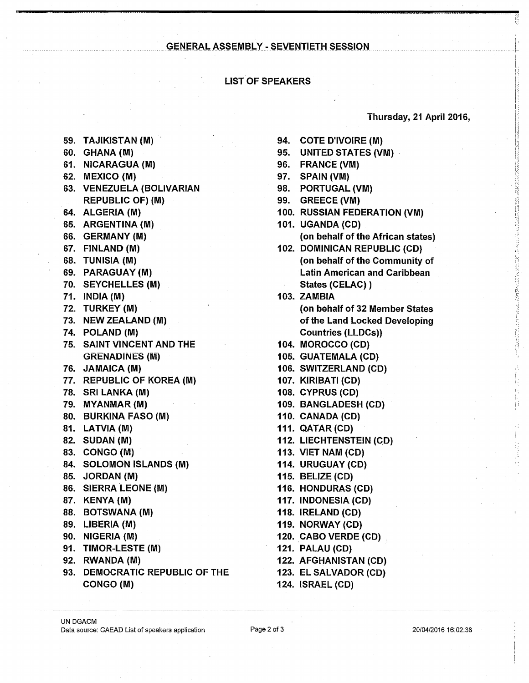## **GENERAL ASSEMBLY - SEVENTIETH SESSION**

# **LIST OF SPEAKERS**

### Thursday, 21 April 2016,

法受受法罪的法赔偿的过去式与过去分词 射线电子 经已成本资源 法法律的法法律的法律的

Ħ

- 59. TAJIKISTAN (M)
- 60. GHANA (M)
- 61. NICARAGUA (M)
- 62. MEXICO (M)
- 63. VENEZUELA (BOLIVARIAN **REPUBLIC OF) (M)**
- 64. ALGERIA (M)
- 65. ARGENTINA (M)
- 66. GERMANY (M)
- 67. FINLAND (M)
- 68. TUNISIA (M)
- 69. PARAGUAY (M)
- 70. SEYCHELLES (M)
- 71. INDIA (M)
- 72. TURKEY (M)
- 73. NEW ZEALAND (M)
- 74. POLAND (M)
- **75. SAINT VINCENT AND THE GRENADINES (M)**
- 76. JAMAICA (M)
- 77. REPUBLIC OF KOREA (M)
- 78. SRI LANKA (M)
- 79. MYANMAR (M)
- 80. BURKINA FASO (M)
- 81. LATVIA (M)
- 82. SUDAN (M)
- 83. CONGO (M)
- 84. SOLOMON ISLANDS (M)
- 85. JORDAN (M)
- 86. SIERRA LEONE (M)
- 87. KENYA (M)
- 88. BOTSWANA (M)
- 89. LIBERIA (M)
- 90. NIGERIA (M)
- 91. TIMOR-LESTE (M)
- 92. RWANDA (M)
- 93. DEMOCRATIC REPUBLIC OF THE CONGO (M)
- 94. COTE D'IVOIRE (M)
- 95. UNITED STATES (VM)
- 96. FRANCE (VM)
- 97. SPAIN (VM)
- 98. PORTUGAL (VM)
- 99. GREECE (VM)
- 100. RUSSIAN FEDERATION (VM)
- 101. UGANDA (CD) (on behalf of the African states)
- 102. DOMINICAN REPUBLIC (CD) (on behalf of the Community of **Latin American and Caribbean** States (CELAC))
- 103. ZAMBIA (on behalf of 32 Member States of the Land Locked Developing **Countries (LLDCs))**
- 104. MOROCCO (CD)
- 105. GUATEMALA (CD)
- 106. SWITZERLAND (CD)
- 107. KIRIBATI (CD)
- 108. CYPRUS (CD)
- 109. BANGLADESH (CD)
- 110. CANADA (CD)
- **111. QATAR (CD)**
- 112. LIECHTENSTEIN (CD)
- 113. VIET NAM (CD)
- 114. URUGUAY (CD)
- 115. BELIZE (CD)
- 116. HONDURAS (CD)
- 117. INDONESIA (CD)
- 118. IRELAND (CD)
- 119. NORWAY (CD)
- 120. CABO VERDE (CD)
- **121. PALAU (CD)**
- 122. AFGHANISTAN (CD)
- 123. EL SALVADOR (CD)
- **124. ISRAEL (CD)**